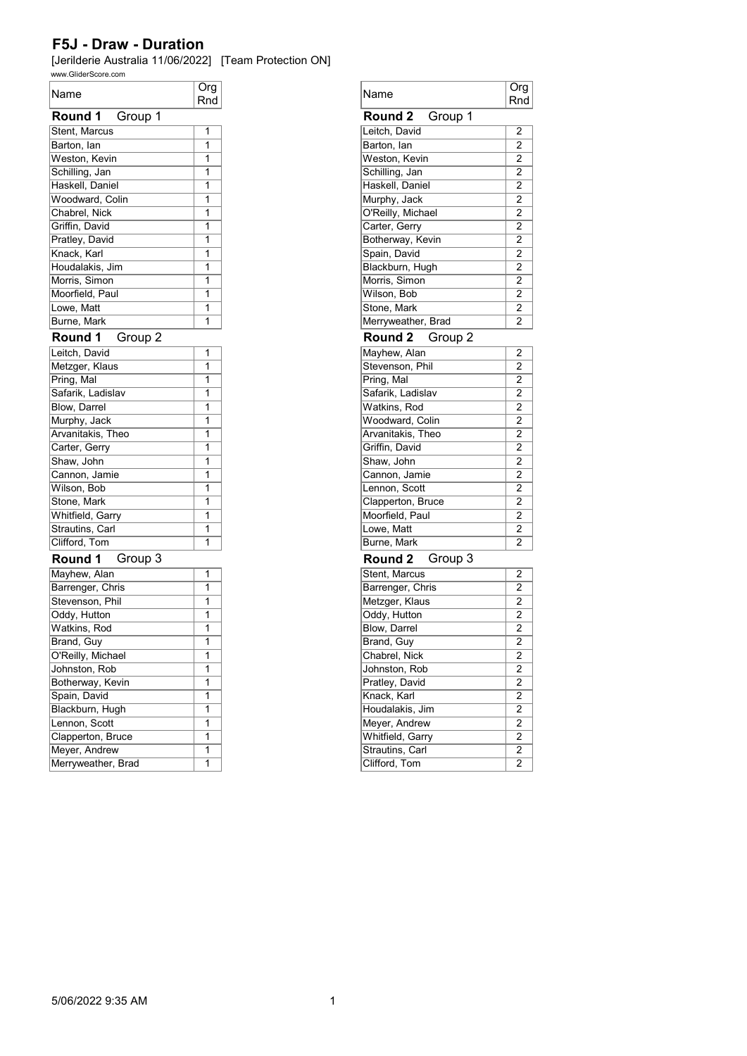| Name                | Org<br>Rnd |
|---------------------|------------|
| Round 1<br>Group 1  |            |
| Stent, Marcus       | 1          |
| Barton, lan         | 1          |
| Weston, Kevin       | 1          |
| Schilling, Jan      | 1          |
| Haskell, Daniel     | 1          |
| Woodward, Colin     | 1          |
| Chabrel, Nick       | 1          |
| Griffin, David      | 1          |
| Pratley, David      | 1          |
| Knack, Karl         | 1          |
| Houdalakis, Jim     | 1          |
| Morris, Simon       | 1          |
| Moorfield, Paul     | 1          |
| Lowe, Matt          | 1          |
| Burne, Mark         | 1          |
| Group 2<br>Round 1  |            |
| Leitch, David       | 1          |
| Metzger, Klaus      | 1          |
| Pring, Mal          | 1          |
| Safarik, Ladislav   | 1          |
| <b>Blow, Darrel</b> | 1          |
| Murphy, Jack        | 1          |
| Arvanitakis, Theo   | 1          |
| Carter, Gerry       | 1          |
| Shaw, John          | 1          |
| Cannon, Jamie       | 1          |
| Wilson, Bob         | 1          |
| Stone, Mark         | 1          |
| Whitfield, Garry    | 1          |
| Strautins, Carl     | 1          |
| Clifford, Tom       | 1          |
| Round 1 Group 3     |            |
| Mayhew, Alan        | 1          |
| Barrenger, Chris    | 1          |
| Stevenson, Phil     | 1          |
| Oddy, Hutton        | 1          |
| Watkins, Rod        | 1          |
| Brand, Guy          | 1          |
| O'Reilly, Michael   | 1          |
| Johnston, Rob       | 1          |
| Botherway, Kevin    | 1          |
| Spain, David        | 1          |
| Blackburn, Hugh     | 1          |
| Lennon, Scott       | 1          |
| Clapperton, Bruce   | 1          |
| Meyer, Andrew       | 1          |
| Merryweather, Brad  | 1          |

| Name               | Org<br>Rnd          |
|--------------------|---------------------|
| Round 2<br>Group 1 |                     |
| Leitch, David      | 2                   |
| Barton, lan        | 2                   |
| Weston, Kevin      | $\overline{2}$      |
| Schilling, Jan     | 2                   |
| Haskell, Daniel    | 2                   |
| Murphy, Jack       | 2                   |
| O'Reilly, Michael  | 2                   |
| Carter, Gerry      | 2                   |
| Botherway, Kevin   | 2                   |
| Spain, David       | 2                   |
| Blackburn, Hugh    | 2                   |
| Morris, Simon      | $\overline{2}$      |
| Wilson, Bob        | 2                   |
| Stone, Mark        | 2                   |
| Merryweather, Brad | 2                   |
| Round 2<br>Group 2 |                     |
|                    |                     |
| Mayhew, Alan       | 2                   |
| Stevenson, Phil    | $\overline{c}$      |
| Pring, Mal         | 2<br>$\overline{2}$ |
| Safarik, Ladislav  |                     |
| Watkins, Rod       | 2                   |
| Woodward, Colin    | 2                   |
| Arvanitakis, Theo  | 2                   |
| Griffin, David     | 2                   |
| Shaw, John         | $\overline{2}$      |
| Cannon, Jamie      | 2                   |
| Lennon, Scott      | 2                   |
| Clapperton, Bruce  | 2                   |
| Moorfield, Paul    | 2                   |
| Lowe, Matt         | $\overline{2}$      |
| Burne, Mark        | $\overline{2}$      |
| Round 2<br>Group 3 |                     |
| Stent, Marcus      | 2                   |
| Barrenger, Chris   | 2                   |
| Metzger, Klaus     | $\overline{2}$      |
| Oddy, Hutton       | 2                   |
| Blow, Darrel       | $\overline{2}$      |
| Brand, Guy         | 2                   |
| Chabrel, Nick      | 2                   |
| Johnston, Rob      | 2                   |
| Pratley, David     | 2                   |
| Knack, Karl        | 2                   |
| Houdalakis, Jim    | $\overline{2}$      |
| Meyer, Andrew      | 2                   |
| Whitfield, Garry   | $\overline{2}$      |
| Strautins, Carl    | 2                   |
| Clifford, Tom      | 2                   |
|                    |                     |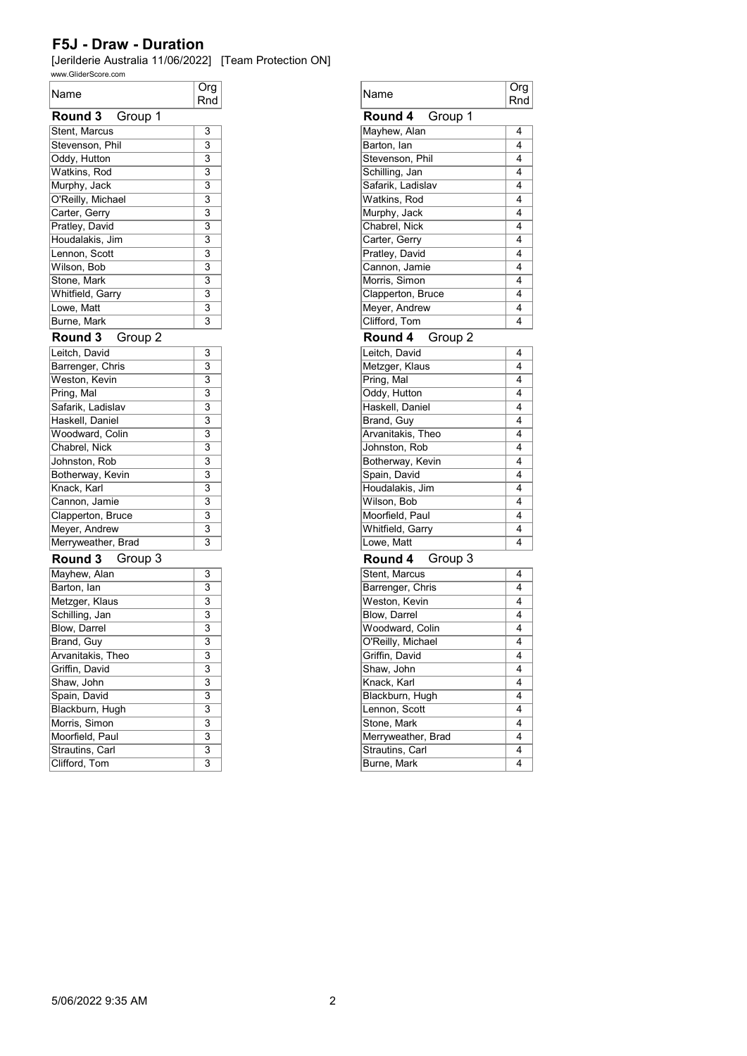| Name                      | Org<br>Rnd                |
|---------------------------|---------------------------|
| <b>Round 3</b><br>Group 1 |                           |
| Stent, Marcus             | 3                         |
| Stevenson, Phil           | $\overline{3}$            |
| Oddy, Hutton              | $\overline{3}$            |
| Watkins, Rod              | $\overline{\mathbf{3}}$   |
| Murphy, Jack              | $\overline{\overline{3}}$ |
| O'Reilly, Michael         | 3                         |
| Carter, Gerry             | 3                         |
| Pratley, David            | $\overline{\mathsf{3}}$   |
| Houdalakis, Jim           | $\overline{\mathbf{3}}$   |
| Lennon, Scott             | $\overline{\overline{3}}$ |
| Wilson, Bob               | 3                         |
| Stone, Mark               | $\overline{3}$            |
| Whitfield, Garry          | $\overline{\mathbf{3}}$   |
| Lowe, Matt                | $\overline{\overline{3}}$ |
| Burne, Mark               | $\overline{\mathbf{3}}$   |
|                           |                           |
| Round 3<br>Group 2        |                           |
| Leitch, David             | $\overline{3}$            |
| Barrenger, Chris          | $\overline{\mathbf{3}}$   |
| Weston, Kevin             | 3                         |
| Pring, Mal                | $\overline{3}$            |
| Safarik, Ladislav         | $\overline{\mathbf{3}}$   |
| Haskell, Daniel           | $\overline{\overline{3}}$ |
| Woodward, Colin           | $\overline{\overline{3}}$ |
| Chabrel, Nick             | 3                         |
| Johnston, Rob             | $\overline{\mathbf{3}}$   |
| Botherway, Kevin          | 3                         |
| Knack, Karl               | $\overline{\overline{3}}$ |
| Cannon, Jamie             | $\overline{\overline{3}}$ |
| Clapperton, Bruce         | $\overline{\mathbf{3}}$   |
| Meyer, Andrew             | 3                         |
| Merryweather, Brad        | $\overline{\overline{3}}$ |
| Group 3<br><b>Round 3</b> |                           |
| Mayhew, Alan              | 3                         |
| Barton, Ian               | $\overline{\mathbf{3}}$   |
| Metzger, Klaus            | $\overline{3}$            |
| Schilling, Jan            | $\overline{3}$            |
| <b>Blow, Darrel</b>       | 3                         |
| Brand, Guy                | $\overline{3}$            |
| Arvanitakis, Theo         | 3                         |
| Griffin, David            | $\overline{3}$            |
| Shaw, John                | $\overline{\overline{3}}$ |
| Spain, David              | $\overline{\overline{3}}$ |
| Blackburn, Hugh           | $\overline{\overline{3}}$ |
| Morris, Simon             | 3                         |
| Moorfield, Paul           | $\overline{\overline{3}}$ |
| Strautins, Carl           | $\overline{\overline{3}}$ |
| Clifford, Tom             | $\overline{\mathbf{3}}$   |

| Org<br>Rnd                | Name                                  | $\overline{O}$ rg<br>Rnd |
|---------------------------|---------------------------------------|--------------------------|
|                           | Round 4<br>Group 1                    |                          |
| 3                         | Mayhew, Alan                          | 4                        |
| $\overline{3}$            | Barton, lan                           | 4                        |
| 3                         | Stevenson, Phil                       | 4                        |
| $\overline{3}$            | Schilling, Jan                        | 4                        |
| 3                         | Safarik, Ladislav                     | 4                        |
| 3                         | Watkins, Rod                          | 4                        |
| $\overline{3}$            | Murphy, Jack                          | 4                        |
| $\overline{3}$            | Chabrel, Nick                         | 4                        |
| $\overline{3}$            | Carter, Gerry                         | 4                        |
| 3                         | Pratley, David                        | 4                        |
| $\overline{3}$            | Cannon, Jamie                         | 4                        |
| $\overline{3}$            | Morris, Simon                         | 4                        |
| 3                         | Clapperton, Bruce                     | 4                        |
| $\overline{3}$            | Meyer, Andrew                         | 4                        |
| 3                         | Clifford, Tom                         | 4                        |
|                           | Round 4<br>Group 2                    |                          |
| 3                         | Leitch. David                         | 4                        |
| 3                         | Metzger, Klaus                        | 4                        |
| $\overline{3}$            | Pring, Mal                            | 4                        |
| $\overline{3}$            | Oddy, Hutton                          | 4                        |
| $\overline{3}$            | Haskell, Daniel                       | 4                        |
| $\overline{3}$            | Brand, Guy                            | 4                        |
| 3                         | Arvanitakis, Theo                     | 4                        |
| $\overline{\overline{3}}$ | Johnston, Rob                         | 4                        |
| 3                         | Botherway, Kevin                      | 4                        |
| $\overline{3}$            | Spain, David                          | 4                        |
| $\overline{3}$            | Houdalakis, Jim                       | 4                        |
| 3                         | Wilson, Bob                           | 4                        |
| $\overline{3}$            | Moorfield, Paul                       | 4                        |
| 3                         | Whitfield, Garry                      | 4                        |
| 3                         | Lowe, Matt                            | 4                        |
|                           | Group 3<br>Round 4                    |                          |
| 3                         | Stent, Marcus                         | 4                        |
| $\overline{3}$            | Barrenger, Chris                      | 4                        |
| $\overline{3}$            | Weston, Kevin                         | 4                        |
| 3                         | Blow, Darrel                          | 4                        |
| $\overline{\mathbf{3}}$   | Woodward, Colin                       | 4                        |
| 3                         | O'Reilly, Michael                     | 4                        |
| 3                         | Griffin, David                        | 4                        |
| $\overline{\mathbf{3}}$   | Shaw, John                            | 4                        |
| $\overline{\mathbf{3}}$   | Knack, Karl                           | 4                        |
| $\overline{\overline{3}}$ | Blackburn, Hugh                       | 4                        |
|                           | Lennon, Scott                         | 4                        |
| $\overline{\overline{3}}$ |                                       |                          |
|                           | Stone, Mark                           | 4                        |
|                           |                                       | 4                        |
| 3<br>3<br>3               | Merryweather, Brad<br>Strautins, Carl | 4                        |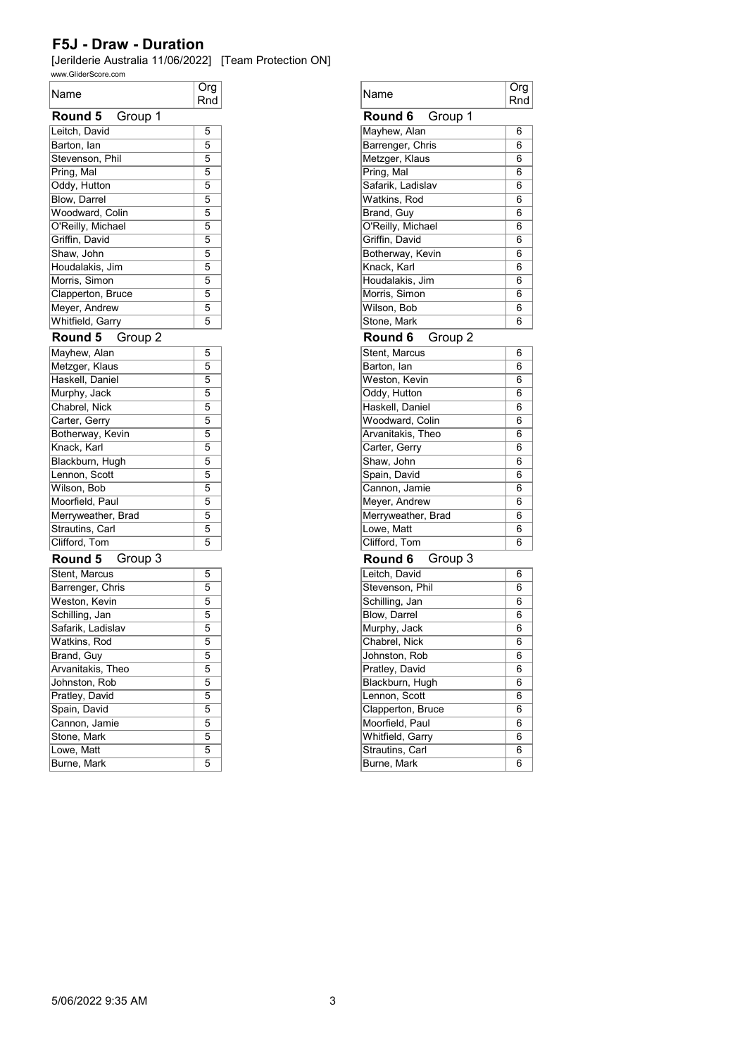| Name               | Org<br>Rnd     |
|--------------------|----------------|
| Round 5<br>Group 1 |                |
| Leitch, David      | 5              |
| Barton, lan        | 5              |
| Stevenson, Phil    | 5              |
| Pring, Mal         | 5              |
| Oddy, Hutton       | 5              |
| Blow, Darrel       | 5              |
| Woodward, Colin    | 5              |
| O'Reilly, Michael  | 5              |
| Griffin, David     | 5              |
| Shaw, John         | 5              |
| Houdalakis, Jim    | 5              |
| Morris, Simon      | 5              |
| Clapperton, Bruce  | $\overline{5}$ |
| Meyer, Andrew      | 5              |
| Whitfield, Garry   | 5              |
| Round 5<br>Group 2 |                |
| Mayhew, Alan       | 5              |
| Metzger, Klaus     | 5              |
| Haskell, Daniel    | 5              |
| Murphy, Jack       | 5              |
| Chabrel, Nick      | $\overline{5}$ |
| Carter, Gerry      | 5              |
| Botherway, Kevin   | 5              |
| Knack, Karl        | 5              |
| Blackburn, Hugh    | 5              |
| Lennon, Scott      | $\overline{5}$ |
| Wilson, Bob        | 5              |
| Moorfield, Paul    | 5              |
| Merryweather, Brad | 5              |
| Strautins, Carl    | 5              |
| Clifford, Tom      | 5              |
| Round 5 Group 3    |                |
| Stent, Marcus      | 5              |
| Barrenger, Chris   | 5              |
| Weston, Kevin      | 5              |
| Schilling, Jan     | 5              |
| Safarik, Ladislav  | 5              |
| Watkins, Rod       | $\overline{5}$ |
| Brand, Guy         | 5              |
| Arvanitakis, Theo  | 5              |
| Johnston, Rob      | 5              |
| Pratley, David     | 5              |
| Spain, David       | 5              |
| Cannon, Jamie      | 5              |
| Stone, Mark        | 5              |
| Lowe, Matt         | 5              |
| Burne, Mark        | 5              |

| Org<br>Rnd     | Name               | Org<br>Rnd |
|----------------|--------------------|------------|
|                | Group 1<br>Round 6 |            |
| 5              | Mayhew, Alan       | 6          |
| $\overline{5}$ | Barrenger, Chris   | 6          |
| 5              | Metzger, Klaus     | 6          |
| 5              | Pring, Mal         | 6          |
| 5              | Safarik, Ladislav  | 6          |
| 5              | Watkins, Rod       | 6          |
| $\overline{5}$ | Brand, Guy         | 6          |
| 5              | O'Reilly, Michael  | 6          |
|                | Griffin, David     | 6          |
|                | Botherway, Kevin   | 6          |
|                | Knack, Karl        | 6          |
|                | Houdalakis, Jim    | 6          |
|                | Morris, Simon      | 6          |
|                | Wilson, Bob        | 6          |
|                | Stone, Mark        | 6          |
|                | Round 6<br>Group 2 |            |
|                | Stent, Marcus      | 6          |
|                | Barton, lan        | 6          |
|                | Weston, Kevin      | 6          |
|                | Oddy, Hutton       | 6          |
|                | Haskell, Daniel    | 6          |
|                | Woodward, Colin    | 6          |
|                | Arvanitakis, Theo  | 6          |
|                | Carter, Gerry      | 6          |
|                | Shaw, John         | 6          |
|                | Spain, David       | 6          |
|                | Cannon, Jamie      | 6          |
|                | Meyer, Andrew      | 6          |
|                | Merryweather, Brad | 6          |
|                | Lowe, Matt         | 6          |
|                | Clifford, Tom      | 6          |
|                | Group 3<br>Round 6 |            |
|                | Leitch, David      | 6          |
|                | Stevenson, Phil    | 6          |
|                | Schilling, Jan     | 6          |
|                | Blow, Darrel       | 6          |
|                | Murphy, Jack       | 6          |
|                | Chabrel, Nick      | 6          |
|                | Johnston, Rob      | 6          |
|                | Pratley, David     | 6          |
|                | Blackburn, Hugh    | 6          |
|                | Lennon, Scott      | 6          |
|                | Clapperton, Bruce  | 6          |
|                | Moorfield, Paul    | 6          |
|                | Whitfield, Garry   | 6          |
|                | Strautins, Carl    | 6          |
|                | Burne, Mark        | 6          |
|                |                    |            |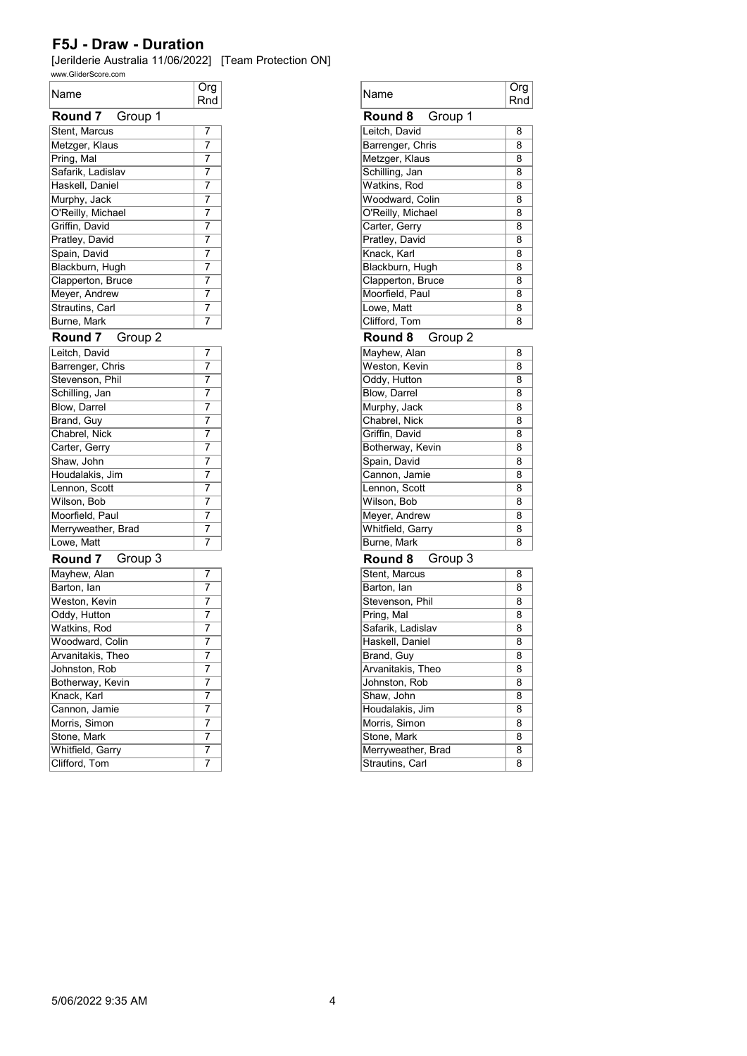| Name                | Org |
|---------------------|-----|
| Round 7 Group 1     | Rnd |
| Stent, Marcus       | 7   |
| Metzger, Klaus      | 7   |
| Pring, Mal          | 7   |
| Safarik, Ladislav   | 7   |
|                     | 7   |
| Haskell, Daniel     | 7   |
| Murphy, Jack        | 7   |
| O'Reilly, Michael   | 7   |
| Griffin, David      |     |
| Pratley, David      | 7   |
| Spain, David        | 7   |
| Blackburn, Hugh     | 7   |
| Clapperton, Bruce   | 7   |
| Meyer, Andrew       | 7   |
| Strautins, Carl     | 7   |
| Burne, Mark         | 7   |
| Round 7<br>Group 2  |     |
| Leitch, David       | 7   |
| Barrenger, Chris    | 7   |
| Stevenson, Phil     | 7   |
| Schilling, Jan      | 7   |
| <b>Blow, Darrel</b> | 7   |
| Brand, Guy          | 7   |
| Chabrel, Nick       | 7   |
| Carter, Gerry       | 7   |
| Shaw, John          | 7   |
| Houdalakis, Jim     | 7   |
| Lennon, Scott       | 7   |
| Wilson, Bob         | 7   |
| Moorfield, Paul     | 7   |
| Merryweather, Brad  | 7   |
| Lowe, Matt          | 7   |
| Group 3<br>Round 7  |     |
| Mayhew, Alan        | 7   |
| Barton, lan         | 7   |
| Weston, Kevin       | 7   |
| Oddy, Hutton        | 7   |
| Watkins, Rod        | 7   |
| Woodward, Colin     | 7   |
| Arvanitakis, Theo   | 7   |
| Johnston, Rob       | 7   |
| Botherway, Kevin    | 7   |
| Knack, Karl         | 7   |
| Cannon, Jamie       | 7   |
| Morris, Simon       | 7   |
| Stone, Mark         | 7   |
| Whitfield, Garry    | 7   |
| Clifford, Tom       | 7   |

| Name                          | Org<br>Rnd |
|-------------------------------|------------|
| Group 1<br>Round 8            |            |
| Leitch, David                 | 8          |
| Barrenger, Chris              | 8          |
| Metzger, Klaus                | 8          |
| Schilling, Jan                | 8          |
| Watkins, Rod                  | 8          |
| Woodward, Colin               | 8          |
| O'Reilly, Michael             | 8          |
| Carter, Gerry                 | 8          |
|                               |            |
| Pratley, David                | 8          |
| Knack, Karl                   | 8          |
| Blackburn, Hugh               | 8          |
| Clapperton, Bruce             | 8          |
| Moorfield, Paul               | 8          |
| Lowe, Matt                    | 8          |
| Clifford, Tom                 | 8          |
| Round 8<br>Group 2            |            |
| Mayhew, Alan                  | 8          |
| Weston, Kevin                 | 8          |
| Oddy, Hutton                  | 8          |
| Blow, Darrel                  | 8          |
| Murphy, Jack                  | 8          |
| Chabrel, Nick                 | 8          |
| Griffin, David                | 8          |
| Botherway, Kevin              | 8          |
| Spain, David                  | 8          |
| Cannon, Jamie                 | 8          |
| Lennon, Scott                 | 8          |
| Wilson, Bob                   | 8          |
| Meyer, Andrew                 | 8          |
| Whitfield, Garry              | 8          |
| Burne, Mark                   | 8          |
| Group 3<br>Round 8            |            |
| Stent, Marcus                 | 8          |
| Barton, lan                   | 8          |
| Stevenson, Phil               | 8          |
| Pring, Mal                    | 8          |
| Safarik, Ladislav             | 8          |
|                               | 8          |
| Haskell, Daniel<br>Brand, Guy | 8          |
| Arvanitakis, Theo             | 8          |
|                               |            |
| Johnston, Rob                 | 8          |
| Shaw, John                    | 8          |
| Houdalakis, Jim               | 8          |
| Morris, Simon                 | 8          |
| Stone, Mark                   | 8          |
| Merryweather, Brad            | 8          |
| Strautins, Carl               | 8          |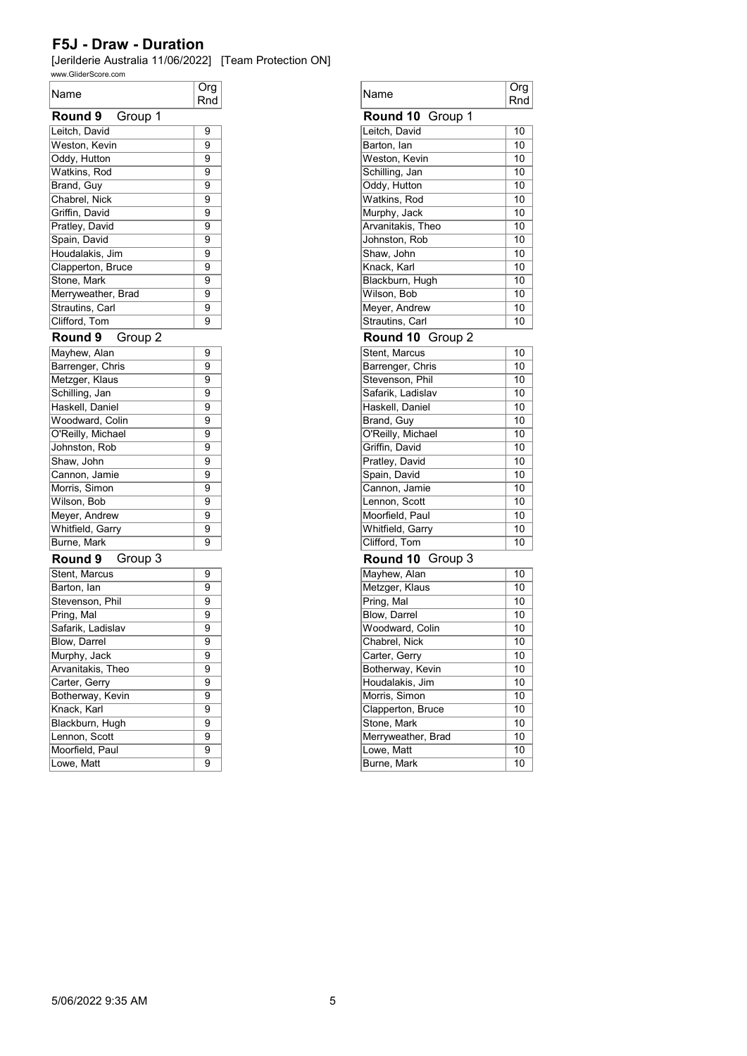[Jerilderie Australia 11/06/2022] [Team Protection ON]

| www.GliderScore.com |            |
|---------------------|------------|
| Name                | Org<br>Rnd |
| Group 1<br>Round 9  |            |
| Leitch, David       | 9          |
| Weston, Kevin       | 9          |
| Oddy, Hutton        | 9          |
| Watkins, Rod        | 9          |
| Brand, Guy          | 9          |
| Chabrel, Nick       | 9          |
| Griffin, David      | 9          |
| Pratley, David      | 9          |
| Spain, David        | 9          |
| Houdalakis, Jim     | 9          |
| Clapperton, Bruce   | 9          |
| Stone, Mark         | 9          |
| Merryweather, Brad  | 9          |
| Strautins, Carl     | 9          |
| Clifford, Tom       | 9          |
|                     |            |
| Round 9<br>Group 2  |            |
| Mayhew, Alan        | 9          |
| Barrenger, Chris    | 9          |
| Metzger, Klaus      | 9          |
| Schilling, Jan      | 9          |
| Haskell, Daniel     | 9          |
| Woodward, Colin     | 9          |
| O'Reilly, Michael   | 9          |
| Johnston, Rob       | 9          |
| Shaw, John          | 9          |
| Cannon, Jamie       | 9          |
| Morris, Simon       | 9          |
| Wilson, Bob         | 9          |
| Meyer, Andrew       | 9          |
| Whitfield, Garry    | 9          |
| Burne, Mark         | 9          |
| Group 3<br>Round 9  |            |
| Stent, Marcus       | 9          |
| Barton, lan         | 9          |
| Stevenson, Phil     | 9          |
| Pring, Mal          | 9          |
| Safarik, Ladislav   | 9          |
| Blow, Darrel        | 9          |
| Murphy, Jack        | 9          |
| Arvanitakis, Theo   | 9          |
| Carter, Gerry       | 9          |
| Botherway, Kevin    | 9          |
| Knack, Karl         | 9          |
| Blackburn, Hugh     | 9          |
| Lennon, Scott       | 9          |
| Moorfield, Paul     | 9          |
| Lowe, Matt          | 9          |

| Org<br>Rnd | Name                                 | <b>Org</b><br>Rnd |
|------------|--------------------------------------|-------------------|
|            | Round 10 Group 1                     |                   |
| 9          | Leitch, David                        | 10                |
| 9          | Barton, lan                          | 10                |
| 9          | Weston, Kevin                        | 10                |
| 9          | Schilling, Jan                       | 10                |
| 9          | Oddy, Hutton                         | 10                |
| 9          | Watkins, Rod                         | 10                |
| 9          | Murphy, Jack                         | 10                |
| 9          | Arvanitakis, Theo                    | 10                |
| 9          | Johnston, Rob                        | 10                |
| 9          | Shaw, John                           | 10                |
| 9          | Knack, Karl                          | 10                |
| 9          | Blackburn, Hugh                      | 10                |
| 9          | Wilson, Bob                          | 10                |
| 9          | Meyer, Andrew                        | 10                |
| 9          | Strautins, Carl                      | 10                |
|            |                                      |                   |
|            | Round 10 Group 2                     |                   |
| 9          | Stent, Marcus                        | 10                |
| 9          | Barrenger, Chris                     | 10                |
| 9          | Stevenson, Phil<br>Safarik, Ladislav | 10                |
| 9          |                                      | 10                |
| 9          | Haskell, Daniel                      | 10                |
| 9          | Brand, Guy                           | 10                |
| 9          | O'Reilly, Michael                    | 10                |
| 9          | Griffin, David                       | 10                |
| 9          | Pratley, David                       | 10                |
| 9          | Spain, David                         | 10                |
| 9          | Cannon, Jamie                        | 10                |
| 9          | Lennon, Scott                        | 10                |
| 9          | Moorfield, Paul                      | 10                |
| 9          | Whitfield, Garry                     | 10                |
| 9          | Clifford, Tom                        | 10                |
|            | Round 10<br>Group 3                  |                   |
| 9          | Mayhew, Alan                         | 10                |
| 9          | Metzger, Klaus                       | 10                |
| 9          | Pring, Mal                           | 10                |
| 9          | Blow, Darrel                         | 10                |
| 9          | Woodward, Colin                      | 10                |
| 9          | Chabrel, Nick                        | 10                |
| 9          | Carter, Gerry                        | 10                |
| 9          | Botherway, Kevin                     | 10                |
| 9          | Houdalakis, Jim                      | 10                |
| 9          | Morris, Simon                        | 10                |
| 9          | Clapperton, Bruce                    | 10                |
| 9          | Stone, Mark                          | 10                |
| 9          | Merryweather, Brad                   | 10                |
| 9          | Lowe, Matt                           | 10                |
| 9          | Burne, Mark                          | 10                |